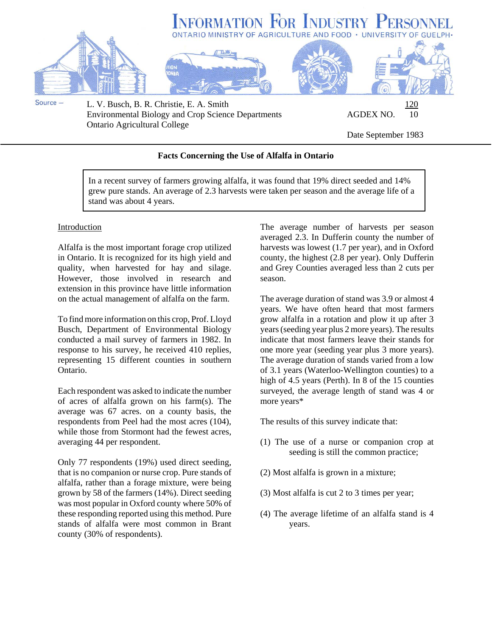

Environmental Biology and Crop Science Departments AGDEX NO. 10 Ontario Agricultural College

Date September 1983

## **Facts Concerning the Use of Alfalfa in Ontario**

In a recent survey of farmers growing alfalfa, it was found that 19% direct seeded and 14% grew pure stands. An average of 2.3 harvests were taken per season and the average life of a stand was about 4 years.

## Introduction

Alfalfa is the most important forage crop utilized in Ontario. It is recognized for its high yield and quality, when harvested for hay and silage. However, those involved in research and extension in this province have little information on the actual management of alfalfa on the farm.

To find more information on this crop, Prof. Lloyd Busch, Department of Environmental Biology conducted a mail survey of farmers in 1982. In response to his survey, he received 410 replies, representing 15 different counties in southern Ontario.

Each respondent was asked to indicate the number of acres of alfalfa grown on his farm(s). The average was 67 acres. on a county basis, the respondents from Peel had the most acres (104), while those from Stormont had the fewest acres, averaging 44 per respondent.

Only 77 respondents (19%) used direct seeding, that is no companion or nurse crop. Pure stands of alfalfa, rather than a forage mixture, were being grown by 58 of the farmers (14%). Direct seeding was most popular in Oxford county where 50% of these responding reported using this method. Pure stands of alfalfa were most common in Brant county (30% of respondents).

The average number of harvests per season averaged 2.3. In Dufferin county the number of harvests was lowest (1.7 per year), and in Oxford county, the highest (2.8 per year). Only Dufferin and Grey Counties averaged less than 2 cuts per season.

The average duration of stand was 3.9 or almost 4 years. We have often heard that most farmers grow alfalfa in a rotation and plow it up after 3 years (seeding year plus 2 more years). The results indicate that most farmers leave their stands for one more year (seeding year plus 3 more years). The average duration of stands varied from a low of 3.1 years (Waterloo-Wellington counties) to a high of 4.5 years (Perth). In 8 of the 15 counties surveyed, the average length of stand was 4 or more years\*

The results of this survey indicate that:

- (1) The use of a nurse or companion crop at seeding is still the common practice;
- (2) Most alfalfa is grown in a mixture;
- (3) Most alfalfa is cut 2 to 3 times per year;
- (4) The average lifetime of an alfalfa stand is 4 years.